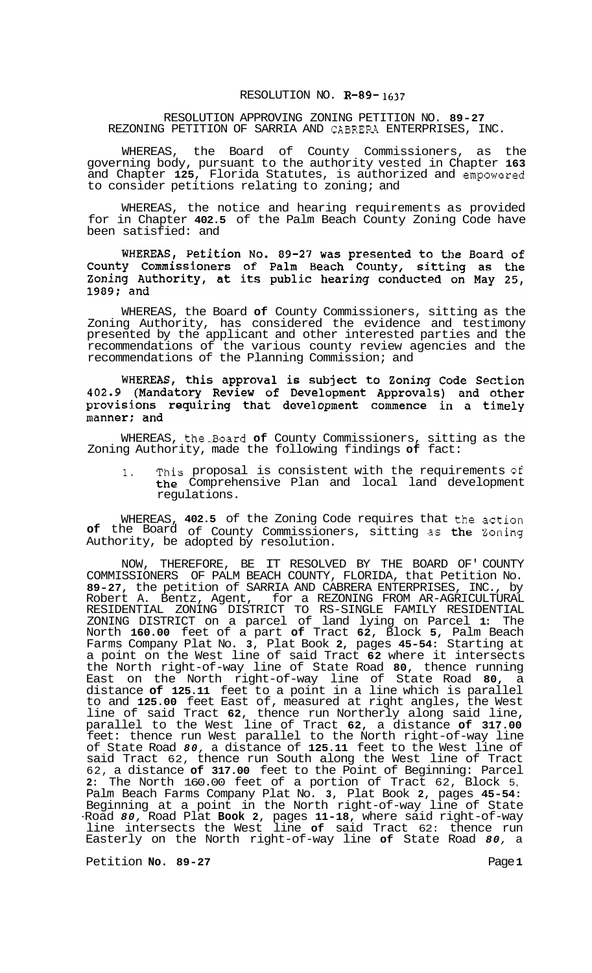## RESOLUTION NO. **R-89- 1637**

## RESOLUTION APPROVING ZONING PETITION NO. **89-27**  REZONING PETITION OF SARRIA AND CABRERA ENTERPRISES, INC.

WHEREAS, the Board of County Commissioners, as the governing body, pursuant to the authority vested in Chapter **163**  and Chapter **125,** Florida Statutes, is authorized and empowered to consider petitions relating to zoning; and

WHEREAS, the notice and hearing requirements as provided for in Chapter **402.5** of the Palm Beach County Zoning Code have been satisfied: and

WHEREAS, Petition No. 89-27 was presented to the Board of<br>County Commissioners of Palm Beach County, sitting as the<br>Zoning Authority, at its public hearing conducted on May 25,  $1989;$  and

WHEREAS, the Board **of** County Commissioners, sitting as the Zoning Authority, has considered the evidence and testimony presented by the applicant and other interested parties and the recommendations of the various county review agencies and the recommendations of the Planning Commission; and

WHEREAS, this approval is subject to Zoning Code Section 402.9 (Mandatory Review of Development Approvals) and other provisions requiring that development commence in a timely manner; and

WHEREAS, the3oard **of** County Commissioners, sitting as the Zoning Authority, made the following findings **of** fact:

**1.** This proposal is consistent with the requirements of the Comprehensive Plan and local land development regulations.

WHEREAS, **402.5** of the Zoning Code requires that the action **of** the Board of County Commissioners, sitting as the Zoning Authority, be adopted  $\bar{p}$  resolution.

NOW, THEREFORE, BE IT RESOLVED BY THE BOARD OF' COUNTY COMMISSIONERS OF PALM BEACH COUNTY, FLORIDA, that Petition No. **89-27,** the petition of SARRIA AND CABRERA ENTERPRISES, INC., by Robert A. Bentz, Agent, for a REZONING FROM AR-AGRICULTURAL ZONING DISTRICT on a parcel of land lying on Parcel **1:** The North **160.00** feet of a part **of** Tract **62,** Block **5,** Palm Beach Farms Company Plat No. **3,** Plat Book **2,** pages **45-54:** Starting at a point on the West line of said Tract **62** where it intersects the North right-of-way line of State Road **80,** thence running East on the North right-of-way line of State Road **80,** a distance **of 125.11** feet to a point in a line which is parallel to and **125.00** feet East of, measured at right angles, the West line of said Tract **62,** thence run Northerly along said line, parallel to the West line of Tract **62,** a distance **of 317.00**  feet: thence run West parallel to the North right-of-way line of State Road *80,* a distance of **125.11** feet to the West line of said Tract 62, thence run South along the West line of Tract 62, a distance **of 317.00** feet to the Point of Beginning: Parcel **2:** The North 160.00 feet of a portion of Tract 62, Block 5, Palm Beach Farms Company Plat No. **3,** Plat Book **2,** pages **45-54:**  Beginning at a point in the North right-of-way line of State -Road *80,* Road Plat **Book 2,** pages **11-18,** where said right-of-way line intersects the West line **of** said Tract 62: thence run Easterly on the North right-of-way line **of** State Road *80,* a RESIDENTIAL ZONING DISTRICT TO RS-SINGLE FAMILY RESIDENTIAL

Petition **No. 89-27** Page 1